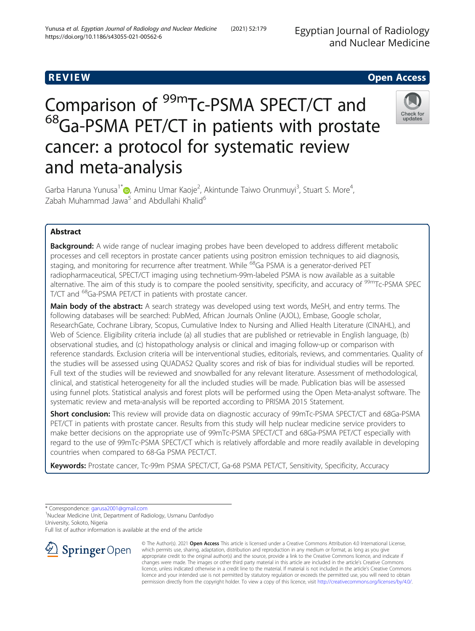Egyptian Journal of Radiology and Nuclear Medicine

# **REVIEW CONSTRUCTION CONSTRUCTION CONSTRUCTS**

# Comparison of <sup>99m</sup>Tc-PSMA SPECT/CT and <sup>68</sup>Ga-PSMA PET/CT in patients with prostate cancer: a protocol for systematic review and meta-analysis



Garba Haruna Yunusa<sup>1[\\*](http://orcid.org/0000-0003-3885-7432)</sup> (@, Aminu Umar Kaoje<sup>2</sup>, Akintunde Taiwo Orunmuyi<sup>3</sup>, Stuart S. More<sup>4</sup> , Zabah Muhammad Jawa<sup>5</sup> and Abdullahi Khalid<sup>6</sup>

# Abstract

**Background:** A wide range of nuclear imaging probes have been developed to address different metabolic processes and cell receptors in prostate cancer patients using positron emission techniques to aid diagnosis, staging, and monitoring for recurrence after treatment. While <sup>68</sup>Ga PSMA is a generator-derived PET radiopharmaceutical, SPECT/CT imaging using technetium-99m-labeled PSMA is now available as a suitable alternative. The aim of this study is to compare the pooled sensitivity, specificity, and accuracy of <sup>99m</sup>Tc-PSMA SPEC T/CT and 68Ga-PSMA PET/CT in patients with prostate cancer.

Main body of the abstract: A search strategy was developed using text words, MeSH, and entry terms. The following databases will be searched: PubMed, African Journals Online (AJOL), Embase, Google scholar, ResearchGate, Cochrane Library, Scopus, Cumulative Index to Nursing and Allied Health Literature (CINAHL), and Web of Science. Eligibility criteria include (a) all studies that are published or retrievable in English language, (b) observational studies, and (c) histopathology analysis or clinical and imaging follow-up or comparison with reference standards. Exclusion criteria will be interventional studies, editorials, reviews, and commentaries. Quality of the studies will be assessed using QUADAS2 Quality scores and risk of bias for individual studies will be reported. Full text of the studies will be reviewed and snowballed for any relevant literature. Assessment of methodological, clinical, and statistical heterogeneity for all the included studies will be made. Publication bias will be assessed using funnel plots. Statistical analysis and forest plots will be performed using the Open Meta-analyst software. The systematic review and meta-analysis will be reported according to PRISMA 2015 Statement.

Short conclusion: This review will provide data on diagnostic accuracy of 99mTc-PSMA SPECT/CT and 68Ga-PSMA PET/CT in patients with prostate cancer. Results from this study will help nuclear medicine service providers to make better decisions on the appropriate use of 99mTc-PSMA SPECT/CT and 68Ga-PSMA PET/CT especially with regard to the use of 99mTc-PSMA SPECT/CT which is relatively affordable and more readily available in developing countries when compared to 68-Ga PSMA PECT/CT.

Keywords: Prostate cancer, Tc-99m PSMA SPECT/CT, Ga-68 PSMA PET/CT, Sensitivity, Specificity, Accuracy

\* Correspondence: [garusa2001@gmail.com](mailto:garusa2001@gmail.com) <sup>1</sup>

<sup>1</sup>Nuclear Medicine Unit, Department of Radiology, Usmanu Danfodiyo University, Sokoto, Nigeria

Full list of author information is available at the end of the article



© The Author(s). 2021 Open Access This article is licensed under a Creative Commons Attribution 4.0 International License, which permits use, sharing, adaptation, distribution and reproduction in any medium or format, as long as you give appropriate credit to the original author(s) and the source, provide a link to the Creative Commons licence, and indicate if changes were made. The images or other third party material in this article are included in the article's Creative Commons licence, unless indicated otherwise in a credit line to the material. If material is not included in the article's Creative Commons licence and your intended use is not permitted by statutory regulation or exceeds the permitted use, you will need to obtain permission directly from the copyright holder. To view a copy of this licence, visit <http://creativecommons.org/licenses/by/4.0/>.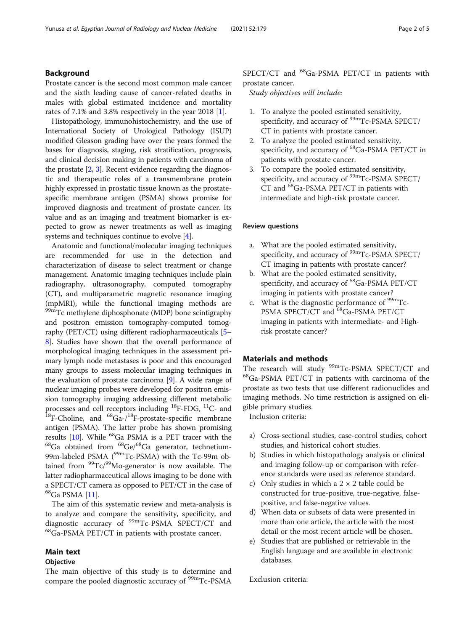## Background

Prostate cancer is the second most common male cancer and the sixth leading cause of cancer-related deaths in males with global estimated incidence and mortality rates of 7.1% and 3.8% respectively in the year 2018 [\[1](#page-4-0)].

Histopathology, immunohistochemistry, and the use of International Society of Urological Pathology (ISUP) modified Gleason grading have over the years formed the bases for diagnosis, staging, risk stratification, prognosis, and clinical decision making in patients with carcinoma of the prostate  $[2, 3]$  $[2, 3]$  $[2, 3]$ . Recent evidence regarding the diagnostic and therapeutic roles of a transmembrane protein highly expressed in prostatic tissue known as the prostatespecific membrane antigen (PSMA) shows promise for improved diagnosis and treatment of prostate cancer. Its value and as an imaging and treatment biomarker is expected to grow as newer treatments as well as imaging systems and techniques continue to evolve [\[4](#page-4-0)].

Anatomic and functional/molecular imaging techniques are recommended for use in the detection and characterization of disease to select treatment or change management. Anatomic imaging techniques include plain radiography, ultrasonography, computed tomography (CT), and multiparametric magnetic resonance imaging (mpMRI), while the functional imaging methods are 99mTc methylene diphosphonate (MDP) bone scintigraphy and positron emission tomography-computed tomography (PET/CT) using different radiopharmaceuticals [[5](#page-4-0)– [8\]](#page-4-0). Studies have shown that the overall performance of morphological imaging techniques in the assessment primary lymph node metastases is poor and this encouraged many groups to assess molecular imaging techniques in the evaluation of prostate carcinoma [[9\]](#page-4-0). A wide range of nuclear imaging probes were developed for positron emission tomography imaging addressing different metabolic processes and cell receptors including  ${}^{18}$ F-FDG,  ${}^{11}$ C- and  ${}^{18}$ F-Choline, and  ${}^{68}$ Ga-/<sup>18</sup>F-prostate-specific membrane antigen (PSMA). The latter probe has shown promising results [[10](#page-4-0)]. While  ${}^{68}$ Ga PSMA is a PET tracer with the  ${}^{68}$ Ga obtained from  ${}^{68}$ Ge/ ${}^{68}$ Ga generator, technetium-99m-labeled PSMA ( $^{99m}$ Tc-PSMA) with the Tc-99m obtained from  $\frac{99}{2}$ Tc/ $\frac{99}{2}$ Mo-generator is now available. The latter radiopharmaceutical allows imaging to be done with a SPECT/CT camera as opposed to PET/CT in the case of 68Ga PSMA [\[11\]](#page-4-0).

The aim of this systematic review and meta-analysis is to analyze and compare the sensitivity, specificity, and diagnostic accuracy of  $^{99m}$ Tc-PSMA SPECT/CT and  $^{68}$ Ga-PSMA PET/CT in patients with prostate cancer.

# Main text

#### Objective

The main objective of this study is to determine and compare the pooled diagnostic accuracy of <sup>99m</sup>Tc-PSMA SPECT/CT and <sup>68</sup>Ga-PSMA PET/CT in patients with prostate cancer.

Study objectives will include:

- 1. To analyze the pooled estimated sensitivity, specificity, and accuracy of <sup>99m</sup>Tc-PSMA SPECT/ CT in patients with prostate cancer.
- 2. To analyze the pooled estimated sensitivity, specificity, and accuracy of <sup>68</sup>Ga-PSMA PET/CT in patients with prostate cancer.
- 3. To compare the pooled estimated sensitivity, specificity, and accuracy of <sup>99m</sup>Tc-PSMA SPECT/ CT and 68Ga-PSMA PET/CT in patients with intermediate and high-risk prostate cancer.

#### Review questions

- a. What are the pooled estimated sensitivity, specificity, and accuracy of  $\rm{^{99m}Tc\text{-}PSMA}$  SPECT/ CT imaging in patients with prostate cancer?
- b. What are the pooled estimated sensitivity, specificity, and accuracy of <sup>68</sup>Ga-PSMA PET/CT imaging in patients with prostate cancer?
- c. What is the diagnostic performance of  $\rm{^{99m}Tc}$ -PSMA SPECT/CT and <sup>68</sup>Ga-PSMA PET/CT imaging in patients with intermediate- and Highrisk prostate cancer?

#### Materials and methods

The research will study  $99m$ Tc-PSMA SPECT/CT and  $^{68}$ Ga-PSMA PET/CT in patients with carcinoma of the prostate as two tests that use different radionuclides and imaging methods. No time restriction is assigned on eligible primary studies.

Inclusion criteria:

- a) Cross-sectional studies, case-control studies, cohort studies, and historical cohort studies.
- b) Studies in which histopathology analysis or clinical and imaging follow-up or comparison with reference standards were used as reference standard.
- c) Only studies in which a  $2 \times 2$  table could be constructed for true-positive, true-negative, falsepositive, and false-negative values.
- d) When data or subsets of data were presented in more than one article, the article with the most detail or the most recent article will be chosen.
- e) Studies that are published or retrievable in the English language and are available in electronic databases.

Exclusion criteria: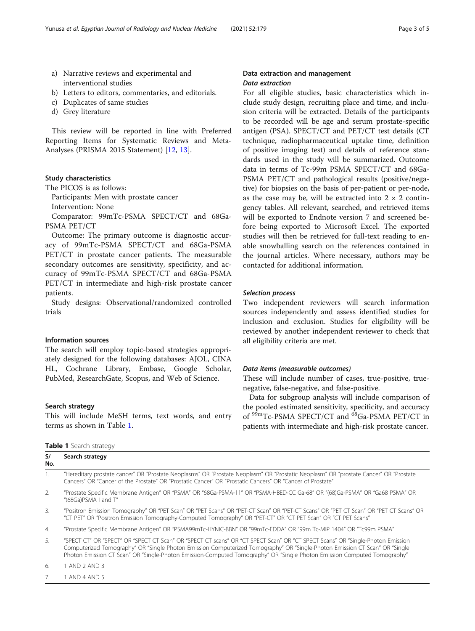- a) Narrative reviews and experimental and interventional studies
- b) Letters to editors, commentaries, and editorials.
- c) Duplicates of same studies
- d) Grey literature

This review will be reported in line with Preferred Reporting Items for Systematic Reviews and Meta-Analyses (PRISMA 2015 Statement) [[12](#page-4-0), [13](#page-4-0)].

#### Study characteristics

The PICOS is as follows:

Participants: Men with prostate cancer Intervention: None

Comparator: 99mTc-PSMA SPECT/CT and 68Ga-PSMA PET/CT

Outcome: The primary outcome is diagnostic accuracy of 99mTc-PSMA SPECT/CT and 68Ga-PSMA PET/CT in prostate cancer patients. The measurable secondary outcomes are sensitivity, specificity, and accuracy of 99mTc-PSMA SPECT/CT and 68Ga-PSMA PET/CT in intermediate and high-risk prostate cancer patients.

Study designs: Observational/randomized controlled trials

#### Information sources

The search will employ topic-based strategies appropriately designed for the following databases: AJOL, CINA HL, Cochrane Library, Embase, Google Scholar, PubMed, ResearchGate, Scopus, and Web of Science.

#### Search strategy

This will include MeSH terms, text words, and entry terms as shown in Table 1.

#### Table 1 Search strategy

### S/ No. Search strategy 1. "Hereditary prostate cancer" OR "Prostate Neoplasms" OR "Prostate Neoplasm" OR "Prostatic Neoplasm" OR "prostate Cancer" OR "Prostate Cancers" OR "Cancer of the Prostate" OR "Prostatic Cancer" OR "Prostatic Cancers" OR "Cancer of Prostate" 2. "Prostate Specific Membrane Antigen" OR "PSMA" OR "68Ga-PSMA-11" OR "PSMA-HBED-CC Ga-68" OR "(68)Ga-PSMA" OR "Ga68 PSMA" OR "(68Ga)PSMA I and T" 3. "Positron Emission Tomography" OR "PET Scan" OR "PET Scans" OR "PET-CT Scan" OR "PET-CT Scans" OR "PET CT Scan" OR "PET CT Scans" OR "CT PET" OR "Positron Emission Tomography-Computed Tomography" OR "PET-CT" OR "CT PET Scan" OR "CT PET Scans"

4. "Prostate Specific Membrane Antigen" OR "PSMA99mTc-HYNIC-BBN" OR "99mTc-EDDA" OR "99m Tc-MIP 1404" OR "Tc99m PSMA"

5. "SPECT CT" OR "SPECT" OR "SPECT CT Scan" OR "SPECT CT scans" OR "CT SPECT Scan" OR "CT SPECT Scans" OR "Single-Photon Emission Computerized Tomography" OR "Single Photon Emission Computerized Tomography" OR "Single-Photon Emission CT Scan" OR "Single Photon Emission CT Scan" OR "Single-Photon Emission-Computed Tomography" OR "Single Photon Emission Computed Tomography"

6. 1 AND 2 AND 3

7. 1 AND 4 AND 5

# Data extraction and management Data extraction

For all eligible studies, basic characteristics which include study design, recruiting place and time, and inclusion criteria will be extracted. Details of the participants to be recorded will be age and serum prostate-specific antigen (PSA). SPECT/CT and PET/CT test details (CT technique, radiopharmaceutical uptake time, definition of positive imaging test) and details of reference standards used in the study will be summarized. Outcome data in terms of Tc-99m PSMA SPECT/CT and 68Ga-PSMA PET/CT and pathological results (positive/negative) for biopsies on the basis of per-patient or per-node, as the case may be, will be extracted into  $2 \times 2$  contingency tables. All relevant, searched, and retrieved items will be exported to Endnote version 7 and screened before being exported to Microsoft Excel. The exported studies will then be retrieved for full-text reading to enable snowballing search on the references contained in the journal articles. Where necessary, authors may be contacted for additional information.

#### Selection process

Two independent reviewers will search information sources independently and assess identified studies for inclusion and exclusion. Studies for eligibility will be reviewed by another independent reviewer to check that all eligibility criteria are met.

# Data items (measurable outcomes)

These will include number of cases, true-positive, truenegative, false-negative, and false-positive.

Data for subgroup analysis will include comparison of the pooled estimated sensitivity, specificity, and accuracy of <sup>99m</sup>Tc-PSMA SPECT/CT and <sup>68</sup>Ga-PSMA PET/CT in patients with intermediate and high-risk prostate cancer.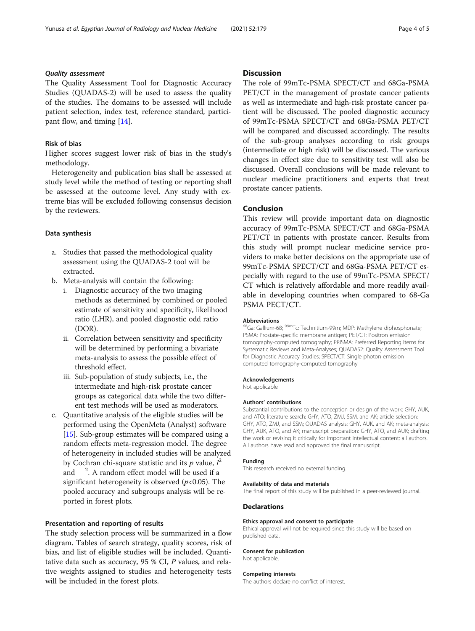# Quality assessment

The Quality Assessment Tool for Diagnostic Accuracy Studies (QUADAS-2) will be used to assess the quality of the studies. The domains to be assessed will include patient selection, index test, reference standard, participant flow, and timing [[14\]](#page-4-0).

# Risk of bias

Higher scores suggest lower risk of bias in the study's methodology.

Heterogeneity and publication bias shall be assessed at study level while the method of testing or reporting shall be assessed at the outcome level. Any study with extreme bias will be excluded following consensus decision by the reviewers.

#### Data synthesis

- a. Studies that passed the methodological quality assessment using the QUADAS-2 tool will be extracted.
- b. Meta-analysis will contain the following:
	- i. Diagnostic accuracy of the two imaging methods as determined by combined or pooled estimate of sensitivity and specificity, likelihood ratio (LHR), and pooled diagnostic odd ratio (DOR).
	- ii. Correlation between sensitivity and specificity will be determined by performing a bivariate meta-analysis to assess the possible effect of threshold effect.
	- iii. Sub-population of study subjects, i.e., the intermediate and high-risk prostate cancer groups as categorical data while the two different test methods will be used as moderators.
- c. Quantitative analysis of the eligible studies will be performed using the OpenMeta (Analyst) software [\[15](#page-4-0)]. Sub-group estimates will be compared using a random effects meta-regression model. The degree of heterogeneity in included studies will be analyzed by Cochran chi-square statistic and its  $p$  value,  $\hat{I}^2$ and <sup>2</sup>. A random effect model will be used if a significant heterogeneity is observed  $(p<0.05)$ . The pooled accuracy and subgroups analysis will be reported in forest plots.

#### Presentation and reporting of results

The study selection process will be summarized in a flow diagram. Tables of search strategy, quality scores, risk of bias, and list of eligible studies will be included. Quantitative data such as accuracy, 95 % CI, P values, and relative weights assigned to studies and heterogeneity tests will be included in the forest plots.

#### **Discussion**

The role of 99mTc-PSMA SPECT/CT and 68Ga-PSMA PET/CT in the management of prostate cancer patients as well as intermediate and high-risk prostate cancer patient will be discussed. The pooled diagnostic accuracy of 99mTc-PSMA SPECT/CT and 68Ga-PSMA PET/CT will be compared and discussed accordingly. The results of the sub-group analyses according to risk groups (intermediate or high risk) will be discussed. The various changes in effect size due to sensitivity test will also be discussed. Overall conclusions will be made relevant to nuclear medicine practitioners and experts that treat prostate cancer patients.

## Conclusion

This review will provide important data on diagnostic accuracy of 99mTc-PSMA SPECT/CT and 68Ga-PSMA PET/CT in patients with prostate cancer. Results from this study will prompt nuclear medicine service providers to make better decisions on the appropriate use of 99mTc-PSMA SPECT/CT and 68Ga-PSMA PET/CT especially with regard to the use of 99mTc-PSMA SPECT/ CT which is relatively affordable and more readily available in developing countries when compared to 68-Ga PSMA PECT/CT.

#### Abbreviations

<sup>8</sup>Ga: Gallium-68; <sup>99m</sup>Tc: Technitium-99m; MDP: Methylene diphosphonate; PSMA: Prostate-specific membrane antigen; PET/CT: Positron emission tomography-computed tomography; PRISMA: Preferred Reporting Items for Systematic Reviews and Meta-Analyses; QUADAS2: Quality Assessment Tool for Diagnostic Accuracy Studies; SPECT/CT: Single photon emission computed tomography-computed tomography

#### Acknowledgements

Not applicable

#### Authors' contributions

Substantial contributions to the conception or design of the work: GHY, AUK, and ATO; literature search: GHY, ATO, ZMJ, SSM, and AK; article selection: GHY, ATO, ZMJ, and SSM; QUADAS analysis: GHY, AUK, and AK; meta-analysis: GHY, AUK, ATO, and AK; manuscript preparation: GHY, ATO, and AUK; drafting the work or revising it critically for important intellectual content: all authors. All authors have read and approved the final manuscript.

#### Funding

This research received no external funding.

#### Availability of data and materials

The final report of this study will be published in a peer-reviewed journal.

#### Declarations

#### Ethics approval and consent to participate

Ethical approval will not be required since this study will be based on published data.

#### Consent for publication

Not applicable.

#### Competing interests

The authors declare no conflict of interest.